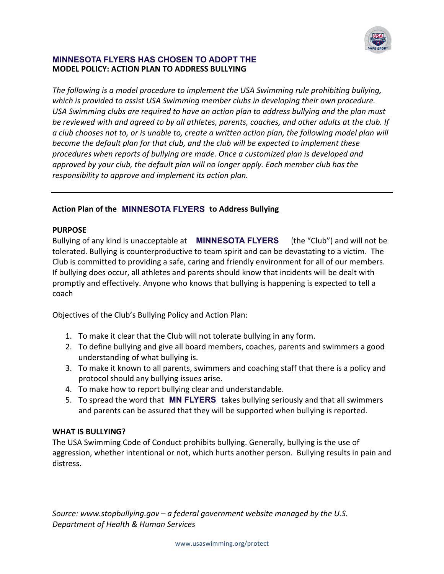

# **MODEL POLICY: ACTION PLAN TO ADDRESS BULLYING**

The following is a model procedure to implement the USA Swimming rule prohibiting bullying, which is provided to assist USA Swimming member clubs in developing their own procedure. USA Swimming clubs are required to have an action plan to address bullying and the plan must *be reviewed with and agreed to by all athletes, parents, coaches, and other adults at the club. If a* club chooses not to, or is unable to, create a written action plan, the following model plan will *become the default plan for that club, and the club will be expected to implement these* procedures when reports of bullying are made. Once a customized plan is developed and *approved* by your club, the default plan will no longer apply. Each member club has the *responsibility to approve and implement its action plan.* **MINNESOTA FLYERS HAS CHOSEN TO ADOPT THE**<br> *The following is a model procedure to implement the USA Swimming condel procedure to implement the USA Swimming chubs are required to hove an action plan to adde<br>
<i>Which is prov* 

# Action Plan of the **MINNESOTA FLYERS** to Address Bullying

### **PURPOSE**

Bullying of any kind is unacceptable at **MINNESOTA FLYERS** (the "Club") and will not be tolerated. Bullying is counterproductive to team spirit and can be devastating to a victim. The Club is committed to providing a safe, caring and friendly environment for all of our members. If bullying does occur, all athletes and parents should know that incidents will be dealt with promptly and effectively. Anyone who knows that bullying is happening is expected to tell a coach

Objectives of the Club's Bullying Policy and Action Plan:

- 1. To make it clear that the Club will not tolerate bullying in any form.
- 2. To define bullying and give all board members, coaches, parents and swimmers a good understanding of what bullying is.
- 3. To make it known to all parents, swimmers and coaching staff that there is a policy and protocol should any bullying issues arise.
- 4. To make how to report bullying clear and understandable.
- 5. To spread the word that **MN FLYERS** takes bullying seriously and that all swimmers and parents can be assured that they will be supported when bullying is reported.

### **WHAT IS BULLYING?**

The USA Swimming Code of Conduct prohibits bullying. Generally, bullying is the use of aggression, whether intentional or not, which hurts another person. Bullying results in pain and distress.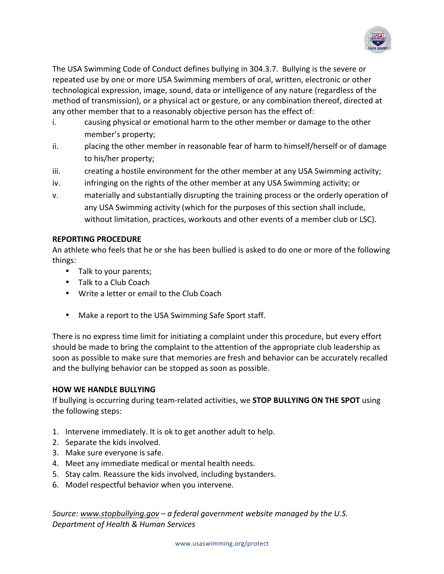

The USA Swimming Code of Conduct defines bullying in 304.3.7. Bullying is the severe or repeated use by one or more USA Swimming members of oral, written, electronic or other technological expression, image, sound, data or intelligence of any nature (regardless of the method of transmission), or a physical act or gesture, or any combination thereof, directed at any other member that to a reasonably objective person has the effect of:

- i. causing physical or emotional harm to the other member or damage to the other member's property;
- ii. placing the other member in reasonable fear of harm to himself/herself or of damage to his/her property;
- iii. creating a hostile environment for the other member at any USA Swimming activity;
- iv. infringing on the rights of the other member at any USA Swimming activity; or
- v. materially and substantially disrupting the training process or the orderly operation of any USA Swimming activity (which for the purposes of this section shall include, without limitation, practices, workouts and other events of a member club or LSC).

## **REPORTING PROCEDURE**

An athlete who feels that he or she has been bullied is asked to do one or more of the following things: 

- Talk to your parents;
- Talk to a Club Coach
- Write a letter or email to the Club Coach
- Make a report to the USA Swimming Safe Sport staff.

There is no express time limit for initiating a complaint under this procedure, but every effort should be made to bring the complaint to the attention of the appropriate club leadership as soon as possible to make sure that memories are fresh and behavior can be accurately recalled and the bullying behavior can be stopped as soon as possible.

### **HOW WE HANDLE BULLYING**

If bullying is occurring during team-related activities, we **STOP BULLYING ON THE SPOT** using the following steps:

- 1. Intervene immediately. It is ok to get another adult to help.
- 2. Separate the kids involved.
- 3. Make sure everyone is safe.
- 4. Meet any immediate medical or mental health needs.
- 5. Stay calm. Reassure the kids involved, including bystanders.
- 6. Model respectful behavior when you intervene.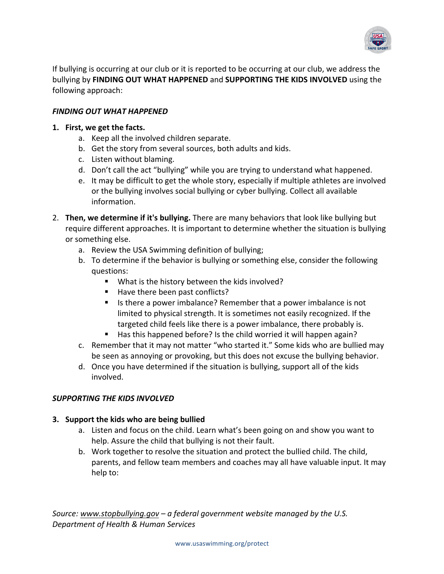

If bullying is occurring at our club or it is reported to be occurring at our club, we address the bullying by FINDING OUT WHAT HAPPENED and SUPPORTING THE KIDS INVOLVED using the following approach:

# **FINDING OUT WHAT HAPPENED**

## **1.** First, we get the facts.

- a. Keep all the involved children separate.
- b. Get the story from several sources, both adults and kids.
- c. Listen without blaming.
- d. Don't call the act "bullying" while you are trying to understand what happened.
- e. It may be difficult to get the whole story, especially if multiple athletes are involved or the bullying involves social bullying or cyber bullying. Collect all available information.
- 2. **Then, we determine if it's bullying.** There are many behaviors that look like bullying but require different approaches. It is important to determine whether the situation is bullying or something else.
	- a. Review the USA Swimming definition of bullying;
	- b. To determine if the behavior is bullying or something else, consider the following questions:
		- What is the history between the kids involved?
		- Have there been past conflicts?
		- If Is there a power imbalance? Remember that a power imbalance is not limited to physical strength. It is sometimes not easily recognized. If the targeted child feels like there is a power imbalance, there probably is.
		- $\blacksquare$  Has this happened before? Is the child worried it will happen again?
	- c. Remember that it may not matter "who started it." Some kids who are bullied may be seen as annoying or provoking, but this does not excuse the bullying behavior.
	- d. Once you have determined if the situation is bullying, support all of the kids involved.

# **SUPPORTING THE KIDS INVOLVED**

# **3.** Support the kids who are being bullied

- a. Listen and focus on the child. Learn what's been going on and show you want to help. Assure the child that bullying is not their fault.
- b. Work together to resolve the situation and protect the bullied child. The child, parents, and fellow team members and coaches may all have valuable input. It may help to: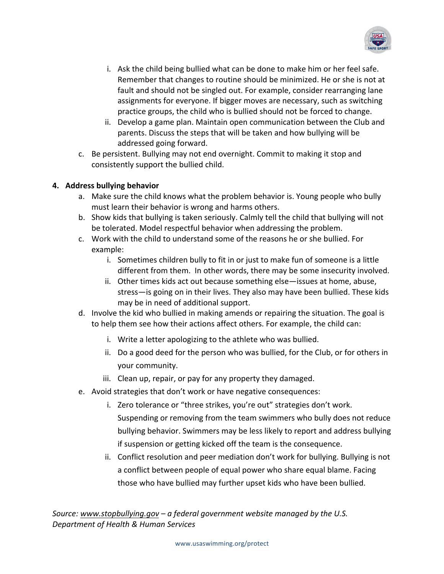

- i. Ask the child being bullied what can be done to make him or her feel safe. Remember that changes to routine should be minimized. He or she is not at fault and should not be singled out. For example, consider rearranging lane assignments for everyone. If bigger moves are necessary, such as switching practice groups, the child who is bullied should not be forced to change.
- ii. Develop a game plan. Maintain open communication between the Club and parents. Discuss the steps that will be taken and how bullying will be addressed going forward.
- c. Be persistent. Bullying may not end overnight. Commit to making it stop and consistently support the bullied child.

# **4. Address bullying behavior**

- a. Make sure the child knows what the problem behavior is. Young people who bully must learn their behavior is wrong and harms others.
- b. Show kids that bullying is taken seriously. Calmly tell the child that bullying will not be tolerated. Model respectful behavior when addressing the problem.
- c. Work with the child to understand some of the reasons he or she bullied. For example:
	- i. Sometimes children bully to fit in or just to make fun of someone is a little different from them. In other words, there may be some insecurity involved.
	- ii. Other times kids act out because something else—issues at home, abuse, stress—is going on in their lives. They also may have been bullied. These kids may be in need of additional support.
- d. Involve the kid who bullied in making amends or repairing the situation. The goal is to help them see how their actions affect others. For example, the child can:
	- i. Write a letter apologizing to the athlete who was bullied.
	- ii. Do a good deed for the person who was bullied, for the Club, or for others in your community.
	- iii. Clean up, repair, or pay for any property they damaged.
- e. Avoid strategies that don't work or have negative consequences:
	- i. Zero tolerance or "three strikes, you're out" strategies don't work. Suspending or removing from the team swimmers who bully does not reduce bullying behavior. Swimmers may be less likely to report and address bullying if suspension or getting kicked off the team is the consequence.
	- ii. Conflict resolution and peer mediation don't work for bullying. Bullying is not a conflict between people of equal power who share equal blame. Facing those who have bullied may further upset kids who have been bullied.